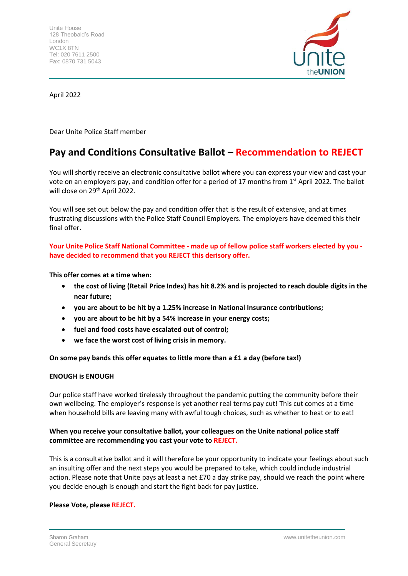

April 2022

Dear Unite Police Staff member

# **Pay and Conditions Consultative Ballot – Recommendation to REJECT**

You will shortly receive an electronic consultative ballot where you can express your view and cast your vote on an employers pay, and condition offer for a period of 17 months from 1<sup>st</sup> April 2022. The ballot will close on 29<sup>th</sup> April 2022.

You will see set out below the pay and condition offer that is the result of extensive, and at times frustrating discussions with the Police Staff Council Employers. The employers have deemed this their final offer.

**Your Unite Police Staff National Committee - made up of fellow police staff workers elected by you have decided to recommend that you REJECT this derisory offer.**

**This offer comes at a time when:**

- **the cost of living (Retail Price Index) has hit 8.2% and is projected to reach double digits in the near future;**
- **you are about to be hit by a 1.25% increase in National Insurance contributions;**
- **you are about to be hit by a 54% increase in your energy costs;**
- **fuel and food costs have escalated out of control;**
- **we face the worst cost of living crisis in memory.**

**On some pay bands this offer equates to little more than a £1 a day (before tax!)**

### **ENOUGH is ENOUGH**

Our police staff have worked tirelessly throughout the pandemic putting the community before their own wellbeing. The employer's response is yet another real terms pay cut! This cut comes at a time when household bills are leaving many with awful tough choices, such as whether to heat or to eat!

## **When you receive your consultative ballot, your colleagues on the Unite national police staff committee are recommending you cast your vote to REJECT.**

This is a consultative ballot and it will therefore be your opportunity to indicate your feelings about such an insulting offer and the next steps you would be prepared to take, which could include industrial action. Please note that Unite pays at least a net £70 a day strike pay, should we reach the point where you decide enough is enough and start the fight back for pay justice.

### **Please Vote, please REJECT.**